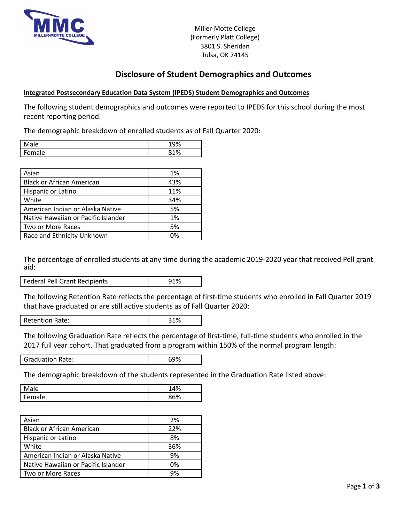

Miller-Motte College (Formerly Platt College) 3801 S. Sheridan Tulsa, OK 74145

## **Disclosure of Student Demographics and Outcomes**

## **Integrated Postsecondary Education Data System (IPEDS) Student Demographics and Outcomes**

The following student demographics and outcomes were reported to IPEDS for this school during the most recent reporting period.

The demographic breakdown of enrolled students as of Fall Quarter 2020:

| $\sqrt{2}$ | /100 |
|------------|------|
| Male       | エコプ0 |
| emale      | 81%  |

| Asian                               | 1%  |
|-------------------------------------|-----|
| <b>Black or African American</b>    | 43% |
| Hispanic or Latino                  | 11% |
| White                               | 34% |
| American Indian or Alaska Native    | 5%  |
| Native Hawaiian or Pacific Islander | 1%  |
| Two or More Races                   | 5%  |
| Race and Ethnicity Unknown          | 0%  |
|                                     |     |

The percentage of enrolled students at any time during the academic 2019-2020 year that received Pell grant aid:

| <b>Federal Pell Grant Recipients</b> | 91% |
|--------------------------------------|-----|
|--------------------------------------|-----|

The following Retention Rate reflects the percentage of first-time students who enrolled in Fall Quarter 2019 that have graduated or are still active students as of Fall Quarter 2020:

Retention Rate:  $\qquad \qquad$  31%

The following Graduation Rate reflects the percentage of first-time, full-time students who enrolled in the 2017 full year cohort. That graduated from a program within 150% of the normal program length:

Graduation Rate: 69%

The demographic breakdown of the students represented in the Graduation Rate listed above:

|             | A <sub>0</sub><br>٬α |
|-------------|----------------------|
| ≏<br>------ | $\sim$ 0 $\prime$    |
|             |                      |

| Asian                               | 2%  |  |  |
|-------------------------------------|-----|--|--|
| <b>Black or African American</b>    | 22% |  |  |
| Hispanic or Latino                  | 8%  |  |  |
| White                               | 36% |  |  |
| American Indian or Alaska Native    | 9%  |  |  |
| Native Hawaiian or Pacific Islander | 0%  |  |  |
| Two or More Races                   | 9%  |  |  |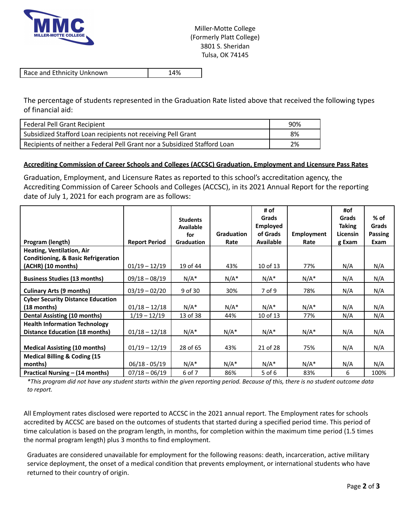

Race and Ethnicity Unknown 14%

The percentage of students represented in the Graduation Rate listed above that received the following types of financial aid:

| <b>Federal Pell Grant Recipient</b>                                       | 90% |
|---------------------------------------------------------------------------|-----|
| Subsidized Stafford Loan recipients not receiving Pell Grant              | 8%  |
| Recipients of neither a Federal Pell Grant nor a Subsidized Stafford Loan | 2%  |

## **Accrediting Commission of Career Schools and Colleges (ACCSC) Graduation, Employment and Licensure Pass Rates**

Graduation, Employment, and Licensure Rates as reported to this school's accreditation agency, the Accrediting Commission of Career Schools and Colleges (ACCSC), in its 2021 Annual Report for the reporting date of July 1, 2021 for each program are as follows:

|                                                |                      | <b>Students</b>   |            | # of<br>Grads    |                   | #of<br>Grads  | $%$ of  |
|------------------------------------------------|----------------------|-------------------|------------|------------------|-------------------|---------------|---------|
|                                                |                      | <b>Available</b>  |            | <b>Employed</b>  |                   | <b>Taking</b> | Grads   |
|                                                |                      | for               | Graduation | of Grads         | <b>Employment</b> | Licensin      | Passing |
| Program (length)                               | <b>Report Period</b> | <b>Graduation</b> | Rate       | <b>Available</b> | Rate              | g Exam        | Exam    |
| Heating, Ventilation, Air                      |                      |                   |            |                  |                   |               |         |
| <b>Conditioning, &amp; Basic Refrigeration</b> |                      |                   |            |                  |                   |               |         |
| (ACHR) (10 months)                             | $01/19 - 12/19$      | 19 of 44          | 43%        | 10 of 13         | 77%               | N/A           | N/A     |
| <b>Business Studies (13 months)</b>            | $09/18 - 08/19$      | $N/A^*$           | $N/A^*$    | $N/A^*$          | $N/A^*$           | N/A           | N/A     |
| <b>Culinary Arts (9 months)</b>                | $03/19 - 02/20$      | 9 of 30           | 30%        | 7 of 9           | 78%               | N/A           | N/A     |
| <b>Cyber Security Distance Education</b>       |                      |                   |            |                  |                   |               |         |
| $(18$ months)                                  | $01/18 - 12/18$      | $N/A^*$           | $N/A^*$    | $N/A^*$          | $N/A^*$           | N/A           | N/A     |
| <b>Dental Assisting (10 months)</b>            | $1/19 - 12/19$       | 13 of 38          | 44%        | 10 of 13         | 77%               | N/A           | N/A     |
| <b>Health Information Technology</b>           |                      |                   |            |                  |                   |               |         |
| Distance Education (18 months)                 | $01/18 - 12/18$      | $N/A^*$           | $N/A^*$    | $N/A^*$          | $N/A^*$           | N/A           | N/A     |
|                                                |                      |                   |            |                  |                   |               |         |
| <b>Medical Assisting (10 months)</b>           | $01/19 - 12/19$      | 28 of 65          | 43%        | 21 of 28         | 75%               | N/A           | N/A     |
| <b>Medical Billing &amp; Coding (15)</b>       |                      |                   |            |                  |                   |               |         |
| months)                                        | $06/18 - 05/19$      | $N/A^*$           | $N/A^*$    | $N/A^*$          | $N/A^*$           | N/A           | N/A     |
| Practical Nursing - (14 months)                | $07/18 - 06/19$      | 6 of 7            | 86%        | 5 of $6$         | 83%               | 6             | 100%    |

\*This program did not have any student starts within the given reporting period. Because of this, there is no student outcome data *to report.*

All Employment rates disclosed were reported to ACCSC in the 2021 annual report. The Employment rates for schools accredited by ACCSC are based on the outcomes of students that started during a specified period time. This period of time calculation is based on the program length, in months, for completion within the maximum time period (1.5 times the normal program length) plus 3 months to find employment.

Graduates are considered unavailable for employment for the following reasons: death, incarceration, active military service deployment, the onset of a medical condition that prevents employment, or international students who have returned to their country of origin.